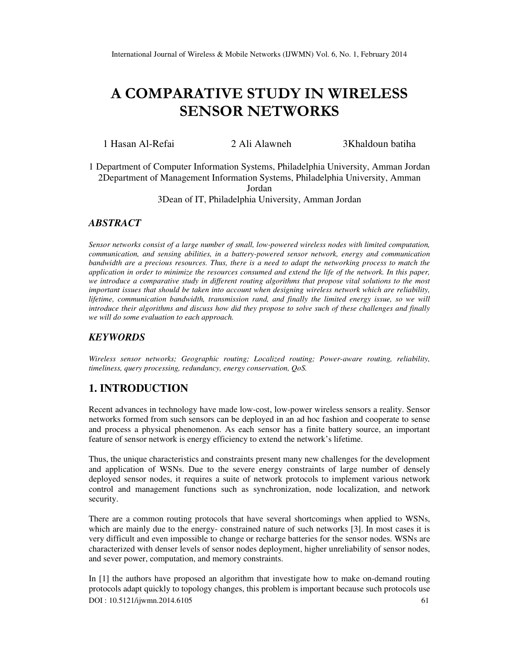# A COMPARATIVE STUDY IN WIRELESS SENSOR NETWORKS

1 Hasan Al-Refai 2 Ali Alawneh 3Khaldoun batiha

1 Department of Computer Information Systems, Philadelphia University, Amman Jordan 2Department of Management Information Systems, Philadelphia University, Amman

Jordan

3Dean of IT, Philadelphia University, Amman Jordan

### *ABSTRACT*

*Sensor networks consist of a large number of small, low-powered wireless nodes with limited computation, communication, and sensing abilities, in a battery-powered sensor network, energy and communication bandwidth are a precious resources. Thus, there is a need to adapt the networking process to match the application in order to minimize the resources consumed and extend the life of the network. In this paper, we introduce a comparative study in different routing algorithms that propose vital solutions to the most important issues that should be taken into account when designing wireless network which are reliability, lifetime, communication bandwidth, transmission rand, and finally the limited energy issue, so we will introduce their algorithms and discuss how did they propose to solve such of these challenges and finally we will do some evaluation to each approach.* 

## *KEYWORDS*

*Wireless sensor networks; Geographic routing; Localized routing; Power-aware routing, reliability, timeliness, query processing, redundancy, energy conservation, QoS.*

# **1. INTRODUCTION**

Recent advances in technology have made low-cost, low-power wireless sensors a reality. Sensor networks formed from such sensors can be deployed in an ad hoc fashion and cooperate to sense and process a physical phenomenon. As each sensor has a finite battery source, an important feature of sensor network is energy efficiency to extend the network's lifetime.

Thus, the unique characteristics and constraints present many new challenges for the development and application of WSNs. Due to the severe energy constraints of large number of densely deployed sensor nodes, it requires a suite of network protocols to implement various network control and management functions such as synchronization, node localization, and network security.

There are a common routing protocols that have several shortcomings when applied to WSNs, which are mainly due to the energy- constrained nature of such networks [3]. In most cases it is very difficult and even impossible to change or recharge batteries for the sensor nodes. WSNs are characterized with denser levels of sensor nodes deployment, higher unreliability of sensor nodes, and sever power, computation, and memory constraints.

DOI : 10.5121/ijwmn.2014.6105 61 In [1] the authors have proposed an algorithm that investigate how to make on-demand routing protocols adapt quickly to topology changes, this problem is important because such protocols use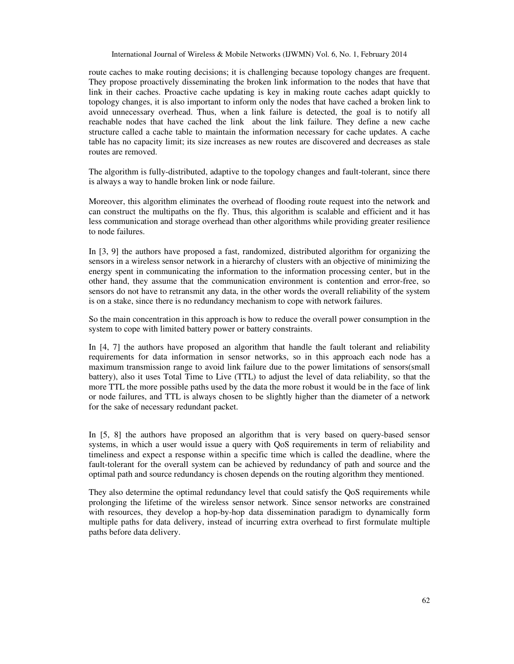route caches to make routing decisions; it is challenging because topology changes are frequent. They propose proactively disseminating the broken link information to the nodes that have that link in their caches. Proactive cache updating is key in making route caches adapt quickly to topology changes, it is also important to inform only the nodes that have cached a broken link to avoid unnecessary overhead. Thus, when a link failure is detected, the goal is to notify all reachable nodes that have cached the link about the link failure. They define a new cache structure called a cache table to maintain the information necessary for cache updates. A cache table has no capacity limit; its size increases as new routes are discovered and decreases as stale routes are removed.

The algorithm is fully-distributed, adaptive to the topology changes and fault-tolerant, since there is always a way to handle broken link or node failure.

Moreover, this algorithm eliminates the overhead of flooding route request into the network and can construct the multipaths on the fly. Thus, this algorithm is scalable and efficient and it has less communication and storage overhead than other algorithms while providing greater resilience to node failures.

In [3, 9] the authors have proposed a fast, randomized, distributed algorithm for organizing the sensors in a wireless sensor network in a hierarchy of clusters with an objective of minimizing the energy spent in communicating the information to the information processing center, but in the other hand, they assume that the communication environment is contention and error-free, so sensors do not have to retransmit any data, in the other words the overall reliability of the system is on a stake, since there is no redundancy mechanism to cope with network failures.

So the main concentration in this approach is how to reduce the overall power consumption in the system to cope with limited battery power or battery constraints.

In [4, 7] the authors have proposed an algorithm that handle the fault tolerant and reliability requirements for data information in sensor networks, so in this approach each node has a maximum transmission range to avoid link failure due to the power limitations of sensors(small battery), also it uses Total Time to Live (TTL) to adjust the level of data reliability, so that the more TTL the more possible paths used by the data the more robust it would be in the face of link or node failures, and TTL is always chosen to be slightly higher than the diameter of a network for the sake of necessary redundant packet.

In [5, 8] the authors have proposed an algorithm that is very based on query-based sensor systems, in which a user would issue a query with QoS requirements in term of reliability and timeliness and expect a response within a specific time which is called the deadline, where the fault-tolerant for the overall system can be achieved by redundancy of path and source and the optimal path and source redundancy is chosen depends on the routing algorithm they mentioned.

They also determine the optimal redundancy level that could satisfy the QoS requirements while prolonging the lifetime of the wireless sensor network. Since sensor networks are constrained with resources, they develop a hop-by-hop data dissemination paradigm to dynamically form multiple paths for data delivery, instead of incurring extra overhead to first formulate multiple paths before data delivery.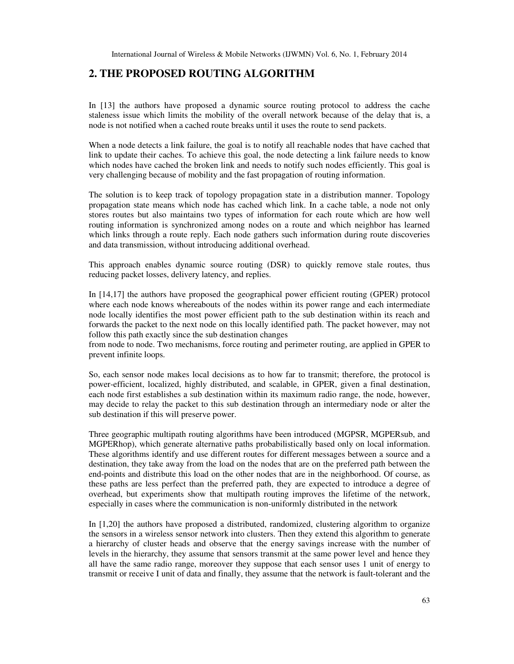## **2. THE PROPOSED ROUTING ALGORITHM**

In [13] the authors have proposed a dynamic source routing protocol to address the cache staleness issue which limits the mobility of the overall network because of the delay that is, a node is not notified when a cached route breaks until it uses the route to send packets.

When a node detects a link failure, the goal is to notify all reachable nodes that have cached that link to update their caches. To achieve this goal, the node detecting a link failure needs to know which nodes have cached the broken link and needs to notify such nodes efficiently. This goal is very challenging because of mobility and the fast propagation of routing information.

The solution is to keep track of topology propagation state in a distribution manner. Topology propagation state means which node has cached which link. In a cache table, a node not only stores routes but also maintains two types of information for each route which are how well routing information is synchronized among nodes on a route and which neighbor has learned which links through a route reply. Each node gathers such information during route discoveries and data transmission, without introducing additional overhead.

This approach enables dynamic source routing (DSR) to quickly remove stale routes, thus reducing packet losses, delivery latency, and replies.

In [14,17] the authors have proposed the geographical power efficient routing (GPER) protocol where each node knows whereabouts of the nodes within its power range and each intermediate node locally identifies the most power efficient path to the sub destination within its reach and forwards the packet to the next node on this locally identified path. The packet however, may not follow this path exactly since the sub destination changes

from node to node. Two mechanisms, force routing and perimeter routing, are applied in GPER to prevent infinite loops.

So, each sensor node makes local decisions as to how far to transmit; therefore, the protocol is power-efficient, localized, highly distributed, and scalable, in GPER, given a final destination, each node first establishes a sub destination within its maximum radio range, the node, however, may decide to relay the packet to this sub destination through an intermediary node or alter the sub destination if this will preserve power.

Three geographic multipath routing algorithms have been introduced (MGPSR, MGPERsub, and MGPERhop), which generate alternative paths probabilistically based only on local information. These algorithms identify and use different routes for different messages between a source and a destination, they take away from the load on the nodes that are on the preferred path between the end-points and distribute this load on the other nodes that are in the neighborhood. Of course, as these paths are less perfect than the preferred path, they are expected to introduce a degree of overhead, but experiments show that multipath routing improves the lifetime of the network, especially in cases where the communication is non-uniformly distributed in the network

In [1,20] the authors have proposed a distributed, randomized, clustering algorithm to organize the sensors in a wireless sensor network into clusters. Then they extend this algorithm to generate a hierarchy of cluster heads and observe that the energy savings increase with the number of levels in the hierarchy, they assume that sensors transmit at the same power level and hence they all have the same radio range, moreover they suppose that each sensor uses 1 unit of energy to transmit or receive I unit of data and finally, they assume that the network is fault-tolerant and the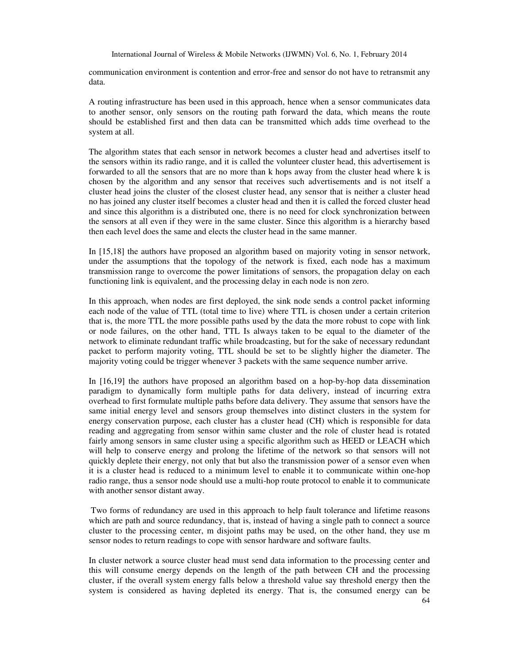communication environment is contention and error-free and sensor do not have to retransmit any data.

A routing infrastructure has been used in this approach, hence when a sensor communicates data to another sensor, only sensors on the routing path forward the data, which means the route should be established first and then data can be transmitted which adds time overhead to the system at all.

The algorithm states that each sensor in network becomes a cluster head and advertises itself to the sensors within its radio range, and it is called the volunteer cluster head, this advertisement is forwarded to all the sensors that are no more than k hops away from the cluster head where k is chosen by the algorithm and any sensor that receives such advertisements and is not itself a cluster head joins the cluster of the closest cluster head, any sensor that is neither a cluster head no has joined any cluster itself becomes a cluster head and then it is called the forced cluster head and since this algorithm is a distributed one, there is no need for clock synchronization between the sensors at all even if they were in the same cluster. Since this algorithm is a hierarchy based then each level does the same and elects the cluster head in the same manner.

In [15,18] the authors have proposed an algorithm based on majority voting in sensor network, under the assumptions that the topology of the network is fixed, each node has a maximum transmission range to overcome the power limitations of sensors, the propagation delay on each functioning link is equivalent, and the processing delay in each node is non zero.

In this approach, when nodes are first deployed, the sink node sends a control packet informing each node of the value of TTL (total time to live) where TTL is chosen under a certain criterion that is, the more TTL the more possible paths used by the data the more robust to cope with link or node failures, on the other hand, TTL Is always taken to be equal to the diameter of the network to eliminate redundant traffic while broadcasting, but for the sake of necessary redundant packet to perform majority voting, TTL should be set to be slightly higher the diameter. The majority voting could be trigger whenever 3 packets with the same sequence number arrive.

In [16,19] the authors have proposed an algorithm based on a hop-by-hop data dissemination paradigm to dynamically form multiple paths for data delivery, instead of incurring extra overhead to first formulate multiple paths before data delivery. They assume that sensors have the same initial energy level and sensors group themselves into distinct clusters in the system for energy conservation purpose, each cluster has a cluster head (CH) which is responsible for data reading and aggregating from sensor within same cluster and the role of cluster head is rotated fairly among sensors in same cluster using a specific algorithm such as HEED or LEACH which will help to conserve energy and prolong the lifetime of the network so that sensors will not quickly deplete their energy, not only that but also the transmission power of a sensor even when it is a cluster head is reduced to a minimum level to enable it to communicate within one-hop radio range, thus a sensor node should use a multi-hop route protocol to enable it to communicate with another sensor distant away.

 Two forms of redundancy are used in this approach to help fault tolerance and lifetime reasons which are path and source redundancy, that is, instead of having a single path to connect a source cluster to the processing center, m disjoint paths may be used, on the other hand, they use m sensor nodes to return readings to cope with sensor hardware and software faults.

In cluster network a source cluster head must send data information to the processing center and this will consume energy depends on the length of the path between CH and the processing cluster, if the overall system energy falls below a threshold value say threshold energy then the system is considered as having depleted its energy. That is, the consumed energy can be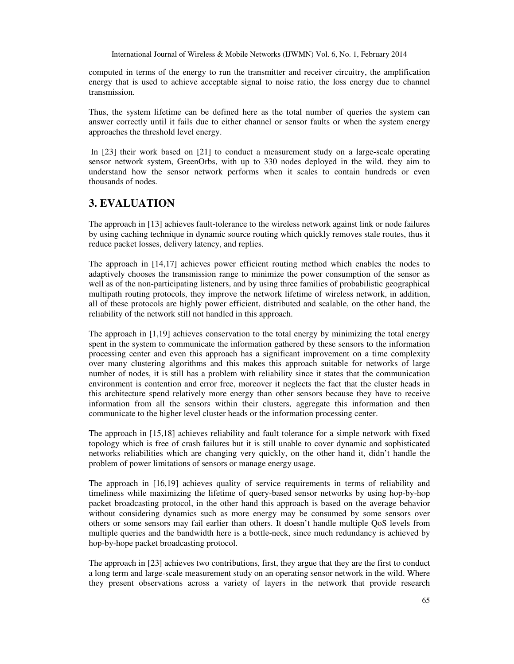computed in terms of the energy to run the transmitter and receiver circuitry, the amplification energy that is used to achieve acceptable signal to noise ratio, the loss energy due to channel transmission.

Thus, the system lifetime can be defined here as the total number of queries the system can answer correctly until it fails due to either channel or sensor faults or when the system energy approaches the threshold level energy.

 In [23] their work based on [21] to conduct a measurement study on a large-scale operating sensor network system, GreenOrbs, with up to 330 nodes deployed in the wild. they aim to understand how the sensor network performs when it scales to contain hundreds or even thousands of nodes.

# **3. EVALUATION**

The approach in [13] achieves fault-tolerance to the wireless network against link or node failures by using caching technique in dynamic source routing which quickly removes stale routes, thus it reduce packet losses, delivery latency, and replies.

The approach in [14,17] achieves power efficient routing method which enables the nodes to adaptively chooses the transmission range to minimize the power consumption of the sensor as well as of the non-participating listeners, and by using three families of probabilistic geographical multipath routing protocols, they improve the network lifetime of wireless network, in addition, all of these protocols are highly power efficient, distributed and scalable, on the other hand, the reliability of the network still not handled in this approach.

The approach in [1,19] achieves conservation to the total energy by minimizing the total energy spent in the system to communicate the information gathered by these sensors to the information processing center and even this approach has a significant improvement on a time complexity over many clustering algorithms and this makes this approach suitable for networks of large number of nodes, it is still has a problem with reliability since it states that the communication environment is contention and error free, moreover it neglects the fact that the cluster heads in this architecture spend relatively more energy than other sensors because they have to receive information from all the sensors within their clusters, aggregate this information and then communicate to the higher level cluster heads or the information processing center.

The approach in [15,18] achieves reliability and fault tolerance for a simple network with fixed topology which is free of crash failures but it is still unable to cover dynamic and sophisticated networks reliabilities which are changing very quickly, on the other hand it, didn't handle the problem of power limitations of sensors or manage energy usage.

The approach in [16,19] achieves quality of service requirements in terms of reliability and timeliness while maximizing the lifetime of query-based sensor networks by using hop-by-hop packet broadcasting protocol, in the other hand this approach is based on the average behavior without considering dynamics such as more energy may be consumed by some sensors over others or some sensors may fail earlier than others. It doesn't handle multiple QoS levels from multiple queries and the bandwidth here is a bottle-neck, since much redundancy is achieved by hop-by-hope packet broadcasting protocol.

The approach in [23] achieves two contributions, first, they argue that they are the first to conduct a long term and large-scale measurement study on an operating sensor network in the wild. Where they present observations across a variety of layers in the network that provide research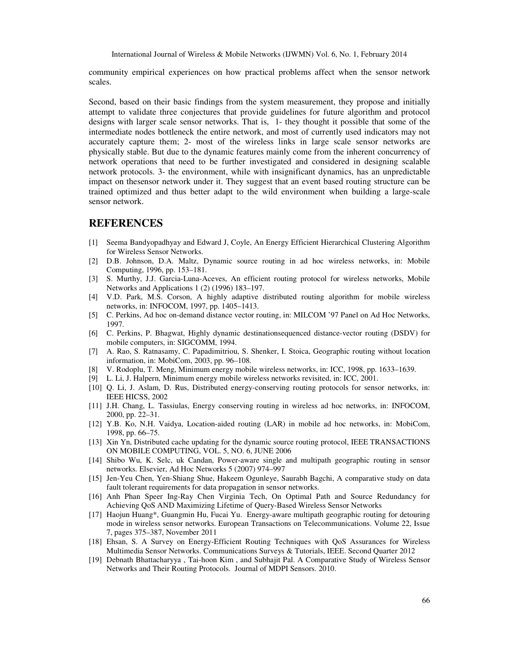community empirical experiences on how practical problems affect when the sensor network scales.

Second, based on their basic findings from the system measurement, they propose and initially attempt to validate three conjectures that provide guidelines for future algorithm and protocol designs with larger scale sensor networks. That is, 1- they thought it possible that some of the intermediate nodes bottleneck the entire network, and most of currently used indicators may not accurately capture them; 2- most of the wireless links in large scale sensor networks are physically stable. But due to the dynamic features mainly come from the inherent concurrency of network operations that need to be further investigated and considered in designing scalable network protocols. 3- the environment, while with insignificant dynamics, has an unpredictable impact on thesensor network under it. They suggest that an event based routing structure can be trained optimized and thus better adapt to the wild environment when building a large-scale sensor network.

#### **REFERENCES**

- [1] Seema Bandyopadhyay and Edward J, Coyle, An Energy Efficient Hierarchical Clustering Algorithm for Wireless Sensor Networks.
- [2] D.B. Johnson, D.A. Maltz, Dynamic source routing in ad hoc wireless networks, in: Mobile Computing, 1996, pp. 153–181.
- [3] S. Murthy, J.J. Garcia-Luna-Aceves, An efficient routing protocol for wireless networks, Mobile Networks and Applications 1 (2) (1996) 183–197.
- [4] V.D. Park, M.S. Corson, A highly adaptive distributed routing algorithm for mobile wireless networks, in: INFOCOM, 1997, pp. 1405–1413.
- [5] C. Perkins, Ad hoc on-demand distance vector routing, in: MILCOM '97 Panel on Ad Hoc Networks, 1997.
- [6] C. Perkins, P. Bhagwat, Highly dynamic destinationsequenced distance-vector routing (DSDV) for mobile computers, in: SIGCOMM, 1994.
- [7] A. Rao, S. Ratnasamy, C. Papadimitriou, S. Shenker, I. Stoica, Geographic routing without location information, in: MobiCom, 2003, pp. 96–108.
- [8] V. Rodoplu, T. Meng, Minimum energy mobile wireless networks, in: ICC, 1998, pp. 1633–1639.
- [9] L. Li, J. Halpern, Minimum energy mobile wireless networks revisited, in: ICC, 2001.
- [10] Q. Li, J. Aslam, D. Rus, Distributed energy-conserving routing protocols for sensor networks, in: IEEE HICSS, 2002
- [11] J.H. Chang, L. Tassiulas, Energy conserving routing in wireless ad hoc networks, in: INFOCOM, 2000, pp. 22–31.
- [12] Y.B. Ko, N.H. Vaidya, Location-aided routing (LAR) in mobile ad hoc networks, in: MobiCom, 1998, pp. 66–75.
- [13] Xin Yn, Distributed cache updating for the dynamic source routing protocol, IEEE TRANSACTIONS ON MOBILE COMPUTING, VOL. 5, NO. 6, JUNE 2006
- [14] Shibo Wu, K. Selc, uk Candan, Power-aware single and multipath geographic routing in sensor networks. Elsevier, Ad Hoc Networks 5 (2007) 974–997
- [15] Jen-Yeu Chen, Yen-Shiang Shue, Hakeem Ogunleye, Saurabh Bagchi, A comparative study on data fault tolerant requirements for data propagation in sensor networks.
- [16] Anh Phan Speer Ing-Ray Chen Virginia Tech, On Optimal Path and Source Redundancy for Achieving QoS AND Maximizing Lifetime of Query-Based Wireless Sensor Networks
- [17] Haojun Huang\*, Guangmin Hu, Fucai Yu. Energy-aware multipath geographic routing for detouring mode in wireless sensor networks. European Transactions on Telecommunications. Volume 22, Issue 7, pages 375–387, November 2011
- [18] Ehsan, S. A Survey on Energy-Efficient Routing Techniques with QoS Assurances for Wireless Multimedia Sensor Networks. Communications Surveys & Tutorials, IEEE. Second Quarter 2012
- [19] Debnath Bhattacharyya , Tai-hoon Kim , and Subhajit Pal. A Comparative Study of Wireless Sensor Networks and Their Routing Protocols. Journal of MDPI Sensors. 2010.